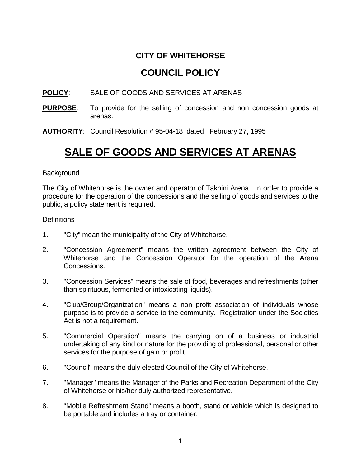### **CITY OF WHITEHORSE**

## **COUNCIL POLICY**

#### **POLICY**: SALE OF GOODS AND SERVICES AT ARENAS

- **PURPOSE**: To provide for the selling of concession and non concession goods at arenas.
- **AUTHORITY**: Council Resolution # 95-04-18 dated February 27, 1995

# **SALE OF GOODS AND SERVICES AT ARENAS**

#### **Background**

The City of Whitehorse is the owner and operator of Takhini Arena. In order to provide a procedure for the operation of the concessions and the selling of goods and services to the public, a policy statement is required.

#### **Definitions**

- 1. "City" mean the municipality of the City of Whitehorse.
- 2. "Concession Agreement" means the written agreement between the City of Whitehorse and the Concession Operator for the operation of the Arena Concessions.
- 3. "Concession Services" means the sale of food, beverages and refreshments (other than spirituous, fermented or intoxicating liquids).
- 4. "Club/Group/Organization" means a non profit association of individuals whose purpose is to provide a service to the community. Registration under the Societies Act is not a requirement.
- 5. "Commercial Operation" means the carrying on of a business or industrial undertaking of any kind or nature for the providing of professional, personal or other services for the purpose of gain or profit.
- 6. "Council" means the duly elected Council of the City of Whitehorse.
- 7. "Manager" means the Manager of the Parks and Recreation Department of the City of Whitehorse or his/her duly authorized representative.
- 8. "Mobile Refreshment Stand" means a booth, stand or vehicle which is designed to be portable and includes a tray or container.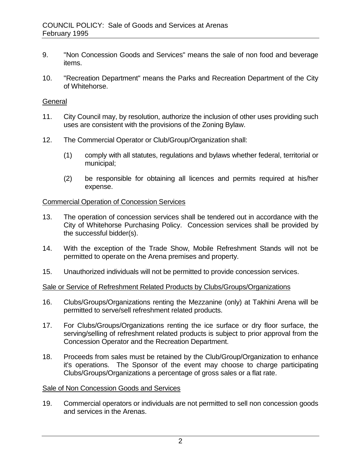- 9. "Non Concession Goods and Services" means the sale of non food and beverage items.
- 10. "Recreation Department" means the Parks and Recreation Department of the City of Whitehorse.

#### **General**

- 11. City Council may, by resolution, authorize the inclusion of other uses providing such uses are consistent with the provisions of the Zoning Bylaw.
- 12. The Commercial Operator or Club/Group/Organization shall:
	- (1) comply with all statutes, regulations and bylaws whether federal, territorial or municipal;
	- (2) be responsible for obtaining all licences and permits required at his/her expense.

#### Commercial Operation of Concession Services

- 13. The operation of concession services shall be tendered out in accordance with the City of Whitehorse Purchasing Policy. Concession services shall be provided by the successful bidder(s).
- 14. With the exception of the Trade Show, Mobile Refreshment Stands will not be permitted to operate on the Arena premises and property.
- 15. Unauthorized individuals will not be permitted to provide concession services.

#### Sale or Service of Refreshment Related Products by Clubs/Groups/Organizations

- 16. Clubs/Groups/Organizations renting the Mezzanine (only) at Takhini Arena will be permitted to serve/sell refreshment related products.
- 17. For Clubs/Groups/Organizations renting the ice surface or dry floor surface, the serving/selling of refreshment related products is subject to prior approval from the Concession Operator and the Recreation Department.
- 18. Proceeds from sales must be retained by the Club/Group/Organization to enhance it's operations. The Sponsor of the event may choose to charge participating Clubs/Groups/Organizations a percentage of gross sales or a flat rate.

#### Sale of Non Concession Goods and Services

19. Commercial operators or individuals are not permitted to sell non concession goods and services in the Arenas.